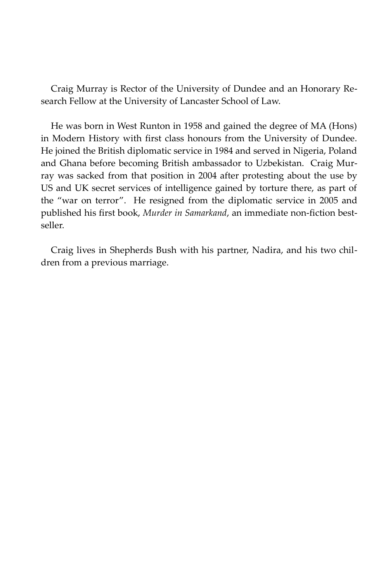Craig Murray is Rector of the University of Dundee and an Honorary Research Fellow at the University of Lancaster School of Law.

He was born in West Runton in 1958 and gained the degree of MA (Hons) in Modern History with first class honours from the University of Dundee. He joined the British diplomatic service in 1984 and served in Nigeria, Poland and Ghana before becoming British ambassador to Uzbekistan. Craig Murray was sacked from that position in 2004 after protesting about the use by US and UK secret services of intelligence gained by torture there, as part of the "war on terror". He resigned from the diplomatic service in 2005 and published his first book, *Murder in Samarkand*, an immediate non-fiction bestseller.

Craig lives in Shepherds Bush with his partner, Nadira, and his two children from a previous marriage.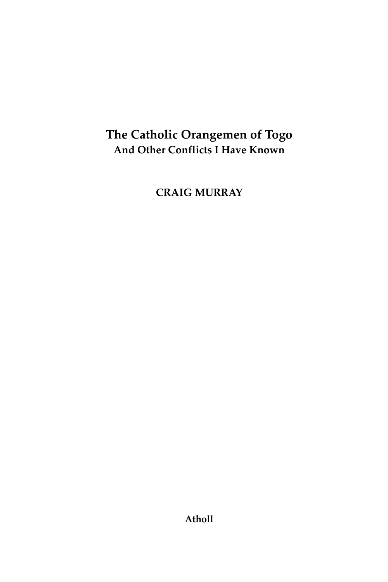## **The Catholic Orangemen of Togo And Other Conflicts I Have Known**

**CRAIG MURRAY**

**Atholl**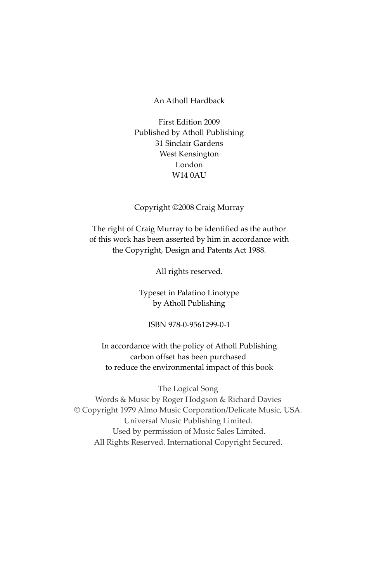## An Atholl Hardback

First Edition 2009 Published by Atholl Publishing 31 Sinclair Gardens West Kensington London  $W140AU$ 

## Copyright ©2008 Craig Murray

The right of Craig Murray to be identified as the author of this work has been asserted by him in accordance with the Copyright, Design and Patents Act 1988.

All rights reserved.

Typeset in Palatino Linotype by Atholl Publishing

ISBN 978-0-9561299-0-1

In accordance with the policy of Atholl Publishing carbon offset has been purchased to reduce the environmental impact of this book

The Logical Song Words & Music by Roger Hodgson & Richard Davies © Copyright 1979 Almo Music Corporation/Delicate Music, USA. Universal Music Publishing Limited. Used by permission of Music Sales Limited. All Rights Reserved. International Copyright Secured.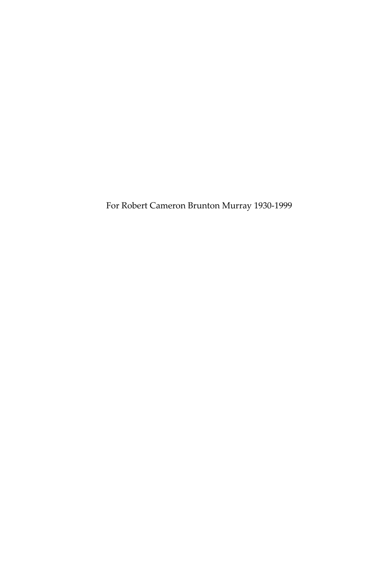For Robert Cameron Brunton Murray 1930-1999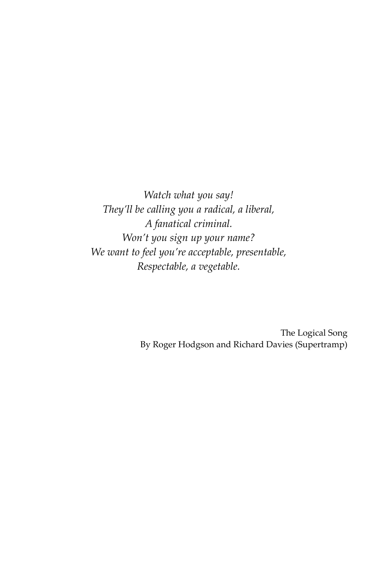*Watch what you say! They'll be calling you a radical, a liberal, A fanatical criminal. Won't you sign up your name? We want to feel you're acceptable, presentable, Respectable, a vegetable.*

> The Logical Song By Roger Hodgson and Richard Davies (Supertramp)